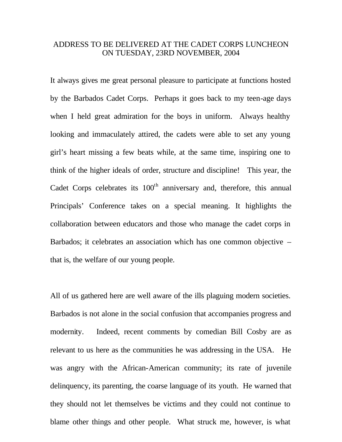## ADDRESS TO BE DELIVERED AT THE CADET CORPS LUNCHEON ON TUESDAY, 23RD NOVEMBER, 2004

It always gives me great personal pleasure to participate at functions hosted by the Barbados Cadet Corps. Perhaps it goes back to my teen-age days when I held great admiration for the boys in uniform. Always healthy looking and immaculately attired, the cadets were able to set any young girl's heart missing a few beats while, at the same time, inspiring one to think of the higher ideals of order, structure and discipline! This year, the Cadet Corps celebrates its  $100<sup>th</sup>$  anniversary and, therefore, this annual Principals' Conference takes on a special meaning. It highlights the collaboration between educators and those who manage the cadet corps in Barbados; it celebrates an association which has one common objective – that is, the welfare of our young people.

All of us gathered here are well aware of the ills plaguing modern societies. Barbados is not alone in the social confusion that accompanies progress and modernity. Indeed, recent comments by comedian Bill Cosby are as relevant to us here as the communities he was addressing in the USA. He was angry with the African-American community; its rate of juvenile delinquency, its parenting, the coarse language of its youth. He warned that they should not let themselves be victims and they could not continue to blame other things and other people. What struck me, however, is what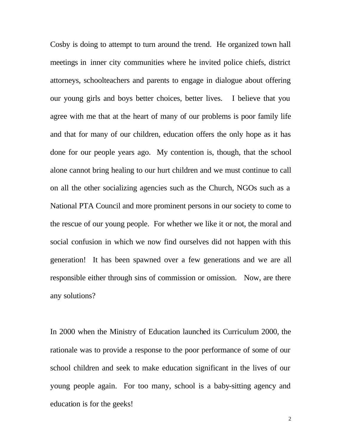Cosby is doing to attempt to turn around the trend. He organized town hall meetings in inner city communities where he invited police chiefs, district attorneys, schoolteachers and parents to engage in dialogue about offering our young girls and boys better choices, better lives. I believe that you agree with me that at the heart of many of our problems is poor family life and that for many of our children, education offers the only hope as it has done for our people years ago. My contention is, though, that the school alone cannot bring healing to our hurt children and we must continue to call on all the other socializing agencies such as the Church, NGOs such as a National PTA Council and more prominent persons in our society to come to the rescue of our young people. For whether we like it or not, the moral and social confusion in which we now find ourselves did not happen with this generation! It has been spawned over a few generations and we are all responsible either through sins of commission or omission. Now, are there any solutions?

In 2000 when the Ministry of Education launched its Curriculum 2000, the rationale was to provide a response to the poor performance of some of our school children and seek to make education significant in the lives of our young people again. For too many, school is a baby-sitting agency and education is for the geeks!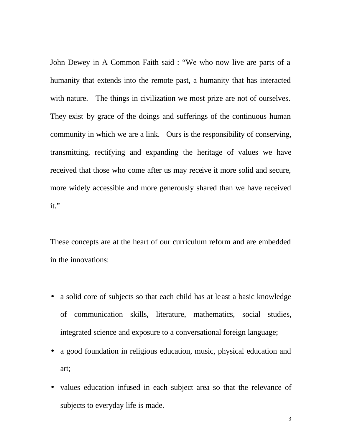John Dewey in A Common Faith said : "We who now live are parts of a humanity that extends into the remote past, a humanity that has interacted with nature. The things in civilization we most prize are not of ourselves. They exist by grace of the doings and sufferings of the continuous human community in which we are a link. Ours is the responsibility of conserving, transmitting, rectifying and expanding the heritage of values we have received that those who come after us may receive it more solid and secure, more widely accessible and more generously shared than we have received it."

These concepts are at the heart of our curriculum reform and are embedded in the innovations:

- a solid core of subjects so that each child has at least a basic knowledge of communication skills, literature, mathematics, social studies, integrated science and exposure to a conversational foreign language;
- a good foundation in religious education, music, physical education and art;
- values education infused in each subject area so that the relevance of subjects to everyday life is made.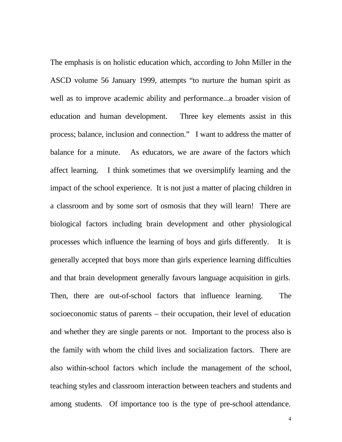The emphasis is on holistic education which, according to John Miller in the ASCD volume 56 January 1999, attempts "to nurture the human spirit as well as to improve academic ability and performance...a broader vision of education and human development. Three key elements assist in this process; balance, inclusion and connection." I want to address the matter of balance for a minute. As educators, we are aware of the factors which affect learning. I think sometimes that we oversimplify learning and the impact of the school experience. It is not just a matter of placing children in a classroom and by some sort of osmosis that they will learn! There are biological factors including brain development and other physiological processes which influence the learning of boys and girls differently. It is generally accepted that boys more than girls experience learning difficulties and that brain development generally favours language acquisition in girls. Then, there are out-of-school factors that influence learning. The socioeconomic status of parents – their occupation, their level of education and whether they are single parents or not. Important to the process also is the family with whom the child lives and socialization factors. There are also within-school factors which include the management of the school, teaching styles and classroom interaction between teachers and students and among students. Of importance too is the type of pre-school attendance.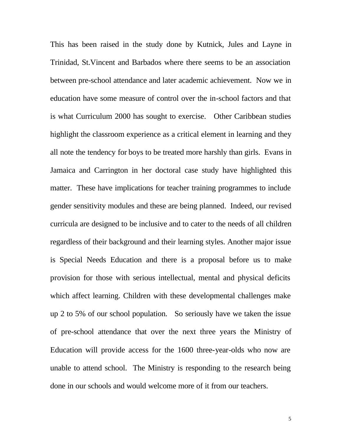This has been raised in the study done by Kutnick, Jules and Layne in Trinidad, St.Vincent and Barbados where there seems to be an association between pre-school attendance and later academic achievement. Now we in education have some measure of control over the in-school factors and that is what Curriculum 2000 has sought to exercise. Other Caribbean studies highlight the classroom experience as a critical element in learning and they all note the tendency for boys to be treated more harshly than girls. Evans in Jamaica and Carrington in her doctoral case study have highlighted this matter. These have implications for teacher training programmes to include gender sensitivity modules and these are being planned. Indeed, our revised curricula are designed to be inclusive and to cater to the needs of all children regardless of their background and their learning styles. Another major issue is Special Needs Education and there is a proposal before us to make provision for those with serious intellectual, mental and physical deficits which affect learning. Children with these developmental challenges make up 2 to 5% of our school population. So seriously have we taken the issue of pre-school attendance that over the next three years the Ministry of Education will provide access for the 1600 three-year-olds who now are unable to attend school. The Ministry is responding to the research being done in our schools and would welcome more of it from our teachers.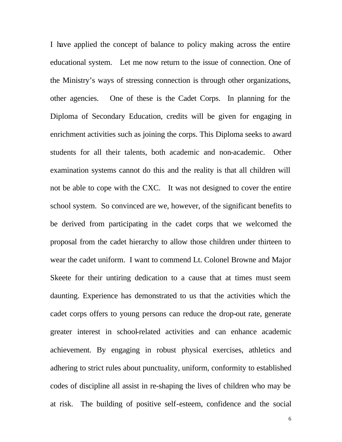I have applied the concept of balance to policy making across the entire educational system. Let me now return to the issue of connection. One of the Ministry's ways of stressing connection is through other organizations, other agencies. One of these is the Cadet Corps. In planning for the Diploma of Secondary Education, credits will be given for engaging in enrichment activities such as joining the corps. This Diploma seeks to award students for all their talents, both academic and non-academic. Other examination systems cannot do this and the reality is that all children will not be able to cope with the CXC. It was not designed to cover the entire school system. So convinced are we, however, of the significant benefits to be derived from participating in the cadet corps that we welcomed the proposal from the cadet hierarchy to allow those children under thirteen to wear the cadet uniform. I want to commend Lt. Colonel Browne and Major Skeete for their untiring dedication to a cause that at times must seem daunting. Experience has demonstrated to us that the activities which the cadet corps offers to young persons can reduce the drop-out rate, generate greater interest in school-related activities and can enhance academic achievement. By engaging in robust physical exercises, athletics and adhering to strict rules about punctuality, uniform, conformity to established codes of discipline all assist in re-shaping the lives of children who may be at risk. The building of positive self-esteem, confidence and the social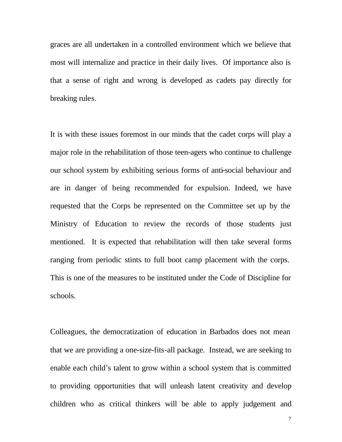graces are all undertaken in a controlled environment which we believe that most will internalize and practice in their daily lives. Of importance also is that a sense of right and wrong is developed as cadets pay directly for breaking rules.

It is with these issues foremost in our minds that the cadet corps will play a major role in the rehabilitation of those teen-agers who continue to challenge our school system by exhibiting serious forms of anti-social behaviour and are in danger of being recommended for expulsion. Indeed, we have requested that the Corps be represented on the Committee set up by the Ministry of Education to review the records of those students just mentioned. It is expected that rehabilitation will then take several forms ranging from periodic stints to full boot camp placement with the corps. This is one of the measures to be instituted under the Code of Discipline for schools.

Colleagues, the democratization of education in Barbados does not mean that we are providing a one-size-fits-all package. Instead, we are seeking to enable each child's talent to grow within a school system that is committed to providing opportunities that will unleash latent creativity and develop children who as critical thinkers will be able to apply judgement and